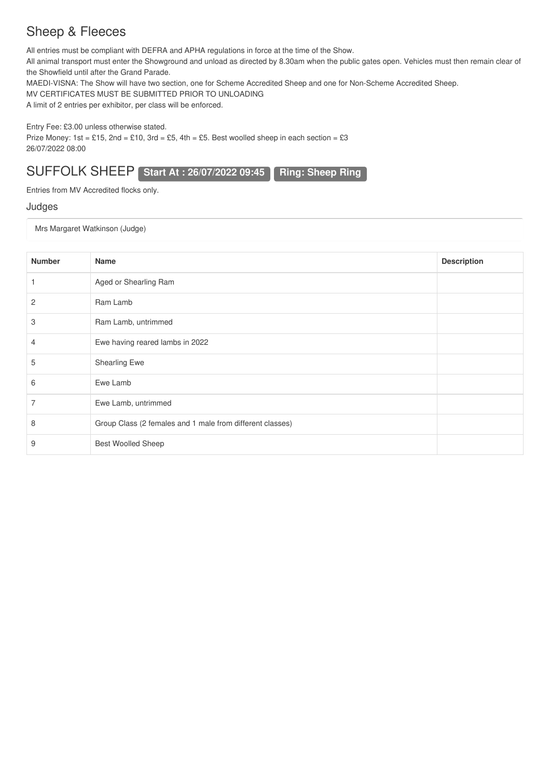### Sheep & Fleeces

All entries must be compliant with DEFRA and APHA regulations in force at the time of the Show.

All animal transport must enter the Showground and unload as directed by 8.30am when the public gates open. Vehicles must then remain clear of the Showfield until after the Grand Parade.

MAEDI-VISNA: The Show will have two section, one for Scheme Accredited Sheep and one for Non-Scheme Accredited Sheep.

MV CERTIFICATES MUST BE SUBMITTED PRIOR TO UNLOADING

A limit of 2 entries per exhibitor, per class will be enforced.

Entry Fee: £3.00 unless otherwise stated.

Prize Money:  $1st = £15$ ,  $2nd = £10$ ,  $3rd = £5$ ,  $4th = £5$ . Best woolled sheep in each section = £3 26/07/2022 08:00

SUFFOLK SHEEP **Start At : 26/07/2022 09:45 Ring: Sheep Ring**

Entries from MV Accredited flocks only.

#### Judges

Mrs Margaret Watkinson (Judge)

| <b>Number</b> | Name                                                      | <b>Description</b> |
|---------------|-----------------------------------------------------------|--------------------|
|               | Aged or Shearling Ram                                     |                    |
| 2             | Ram Lamb                                                  |                    |
| 3             | Ram Lamb, untrimmed                                       |                    |
| 4             | Ewe having reared lambs in 2022                           |                    |
| 5             | <b>Shearling Ewe</b>                                      |                    |
| 6             | Ewe Lamb                                                  |                    |
| 7             | Ewe Lamb, untrimmed                                       |                    |
| 8             | Group Class (2 females and 1 male from different classes) |                    |
| 9             | <b>Best Woolled Sheep</b>                                 |                    |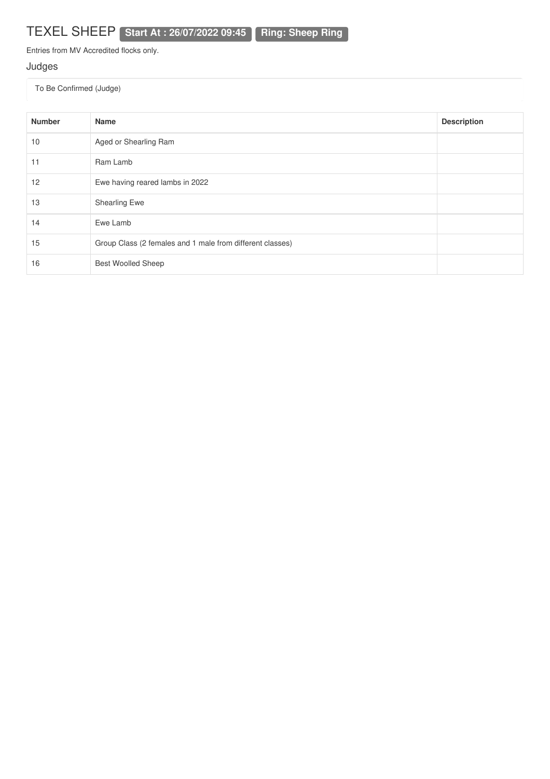TEXEL SHEEP **Start At : 26/07/2022 09:45 Ring: Sheep Ring**

Entries from MV Accredited flocks only.

### Judges

| <b>Number</b> | <b>Name</b>                                               | <b>Description</b> |
|---------------|-----------------------------------------------------------|--------------------|
| 10            | Aged or Shearling Ram                                     |                    |
| 11            | Ram Lamb                                                  |                    |
| 12            | Ewe having reared lambs in 2022                           |                    |
| 13            | <b>Shearling Ewe</b>                                      |                    |
| 14            | Ewe Lamb                                                  |                    |
| 15            | Group Class (2 females and 1 male from different classes) |                    |
| 16            | <b>Best Woolled Sheep</b>                                 |                    |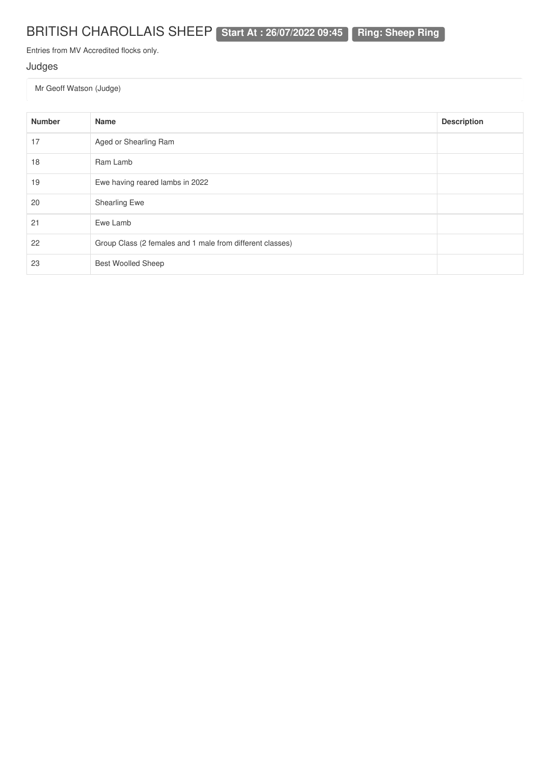# BRITISH CHAROLLAIS SHEEP **Start At : 26/07/2022 09:45 Ring: Sheep Ring**

Entries from MV Accredited flocks only.

### Judges

Mr Geoff Watson (Judge)

| <b>Number</b> | <b>Name</b>                                               | <b>Description</b> |
|---------------|-----------------------------------------------------------|--------------------|
| 17            | Aged or Shearling Ram                                     |                    |
| 18            | Ram Lamb                                                  |                    |
| 19            | Ewe having reared lambs in 2022                           |                    |
| 20            | <b>Shearling Ewe</b>                                      |                    |
| 21            | Ewe Lamb                                                  |                    |
| 22            | Group Class (2 females and 1 male from different classes) |                    |
| 23            | <b>Best Woolled Sheep</b>                                 |                    |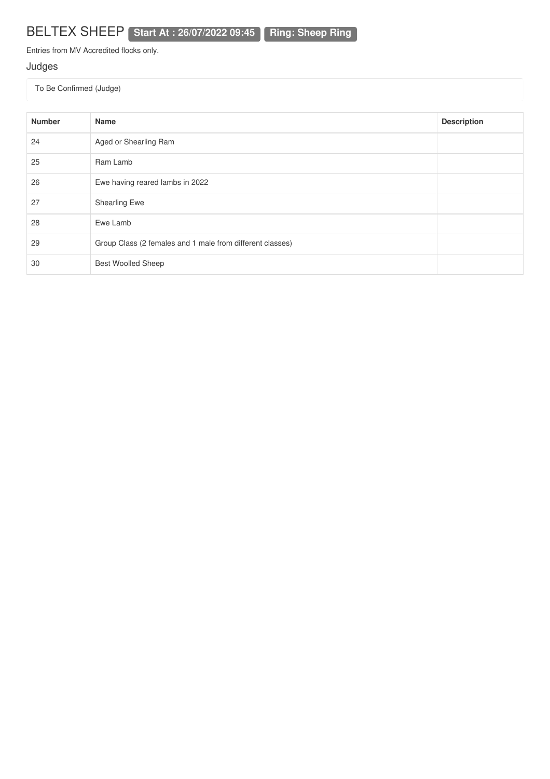# BELTEX SHEEP **Start At : 26/07/2022 09:45 Ring: Sheep Ring**

Entries from MV Accredited flocks only.

### Judges

| <b>Number</b> | <b>Name</b>                                               | <b>Description</b> |
|---------------|-----------------------------------------------------------|--------------------|
| 24            | Aged or Shearling Ram                                     |                    |
| 25            | Ram Lamb                                                  |                    |
| 26            | Ewe having reared lambs in 2022                           |                    |
| 27            | <b>Shearling Ewe</b>                                      |                    |
| 28            | Ewe Lamb                                                  |                    |
| 29            | Group Class (2 females and 1 male from different classes) |                    |
| 30            | <b>Best Woolled Sheep</b>                                 |                    |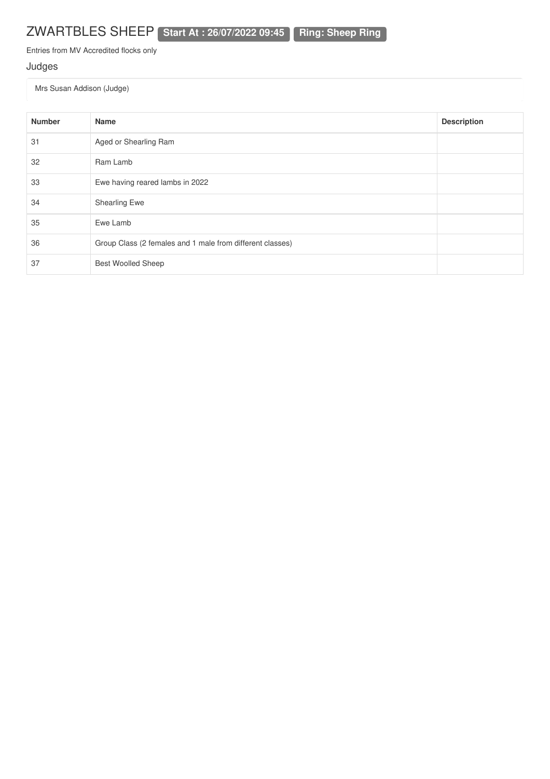## ZWARTBLES SHEEP **Start At : 26/07/2022 09:45 Ring: Sheep Ring**

Entries from MV Accredited flocks only

### Judges

Mrs Susan Addison (Judge)

| <b>Number</b> | <b>Name</b>                                               | <b>Description</b> |
|---------------|-----------------------------------------------------------|--------------------|
| 31            | Aged or Shearling Ram                                     |                    |
| 32            | Ram Lamb                                                  |                    |
| 33            | Ewe having reared lambs in 2022                           |                    |
| 34            | <b>Shearling Ewe</b>                                      |                    |
| 35            | Ewe Lamb                                                  |                    |
| 36            | Group Class (2 females and 1 male from different classes) |                    |
| 37            | <b>Best Woolled Sheep</b>                                 |                    |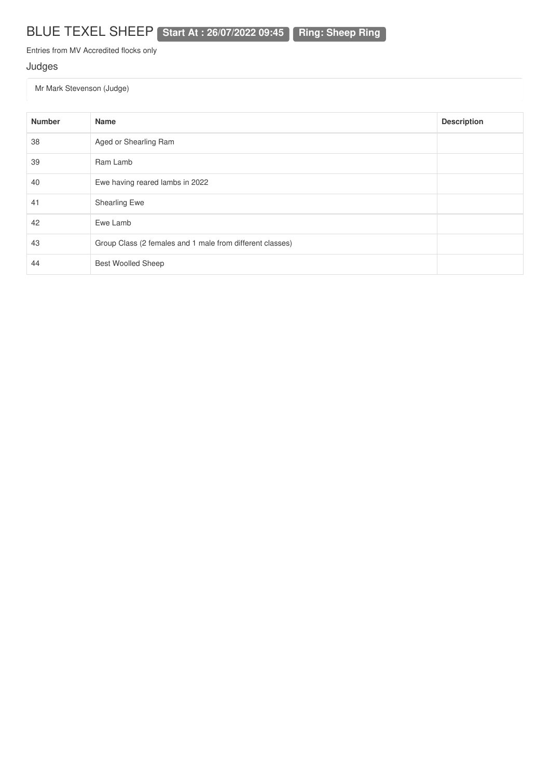## BLUE TEXEL SHEEP **Start At : 26/07/2022 09:45 Ring: Sheep Ring**

Entries from MV Accredited flocks only

### Judges

Mr Mark Stevenson (Judge)

| <b>Number</b> | <b>Name</b>                                               | <b>Description</b> |
|---------------|-----------------------------------------------------------|--------------------|
| 38            | Aged or Shearling Ram                                     |                    |
| 39            | Ram Lamb                                                  |                    |
| 40            | Ewe having reared lambs in 2022                           |                    |
| 41            | Shearling Ewe                                             |                    |
| 42            | Ewe Lamb                                                  |                    |
| 43            | Group Class (2 females and 1 male from different classes) |                    |
| 44            | <b>Best Woolled Sheep</b>                                 |                    |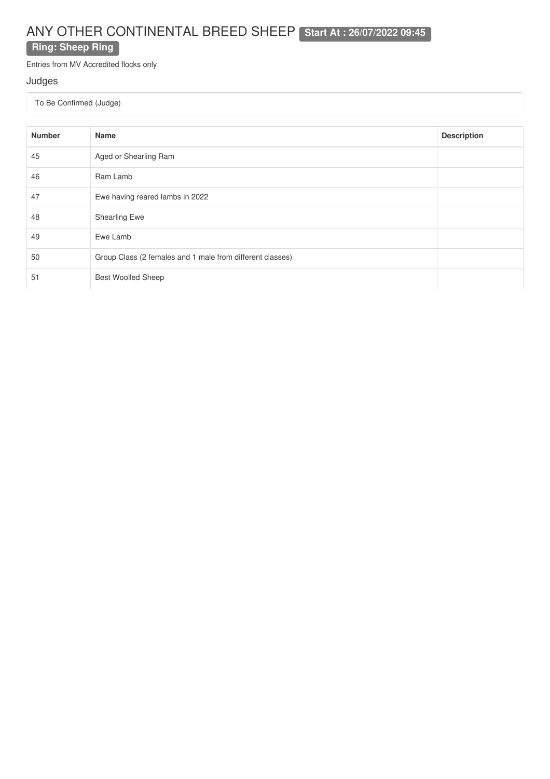# ANY OTHER CONTINENTAL BREED SHEEP **Start At : 26/07/2022 09:45**

### **Ring: Sheep Ring**

Entries from MV Accredited flocks only

#### Judges

| <b>Number</b> | <b>Name</b>                                               | <b>Description</b> |
|---------------|-----------------------------------------------------------|--------------------|
| 45            | Aged or Shearling Ram                                     |                    |
| 46            | Ram Lamb                                                  |                    |
| 47            | Ewe having reared lambs in 2022                           |                    |
| 48            | <b>Shearling Ewe</b>                                      |                    |
| 49            | Ewe Lamb                                                  |                    |
| 50            | Group Class (2 females and 1 male from different classes) |                    |
| 51            | <b>Best Woolled Sheep</b>                                 |                    |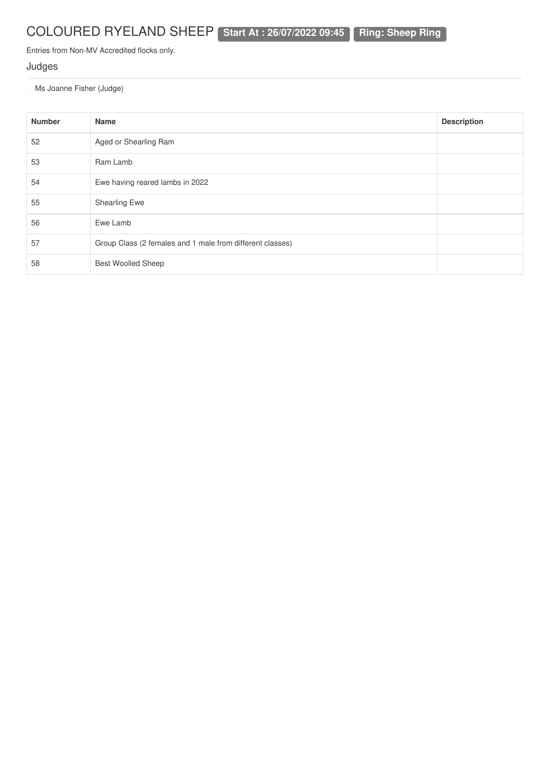# COLOURED RYELAND SHEEP **Start At : 26/07/2022 09:45 Ring: Sheep Ring**

Entries from Non-MV Accredited flocks only.

### Judges

Ms Joanne Fisher (Judge)

| <b>Number</b> | <b>Name</b>                                               | <b>Description</b> |
|---------------|-----------------------------------------------------------|--------------------|
| 52            | Aged or Shearling Ram                                     |                    |
| 53            | Ram Lamb                                                  |                    |
| 54            | Ewe having reared lambs in 2022                           |                    |
| 55            | <b>Shearling Ewe</b>                                      |                    |
| 56            | Ewe Lamb                                                  |                    |
| 57            | Group Class (2 females and 1 male from different classes) |                    |
| 58            | <b>Best Woolled Sheep</b>                                 |                    |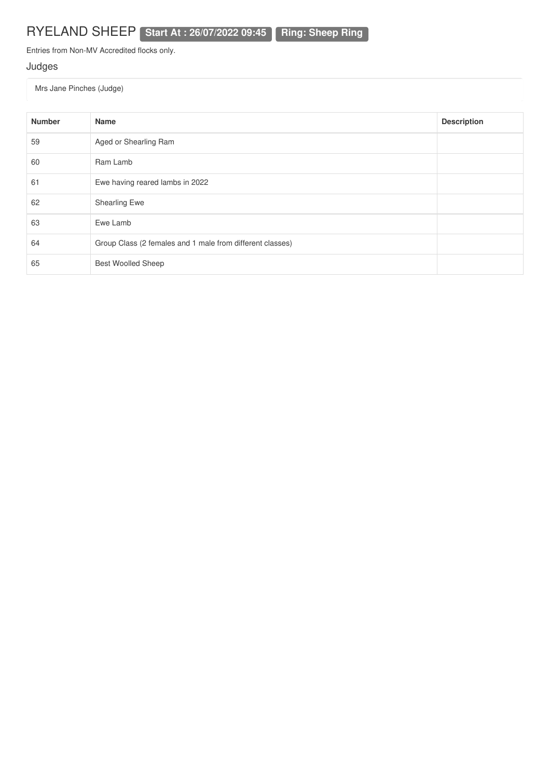Entries from Non-MV Accredited flocks only.

### Judges

Mrs Jane Pinches (Judge)

| <b>Number</b> | <b>Name</b>                                               | <b>Description</b> |
|---------------|-----------------------------------------------------------|--------------------|
| 59            | Aged or Shearling Ram                                     |                    |
| 60            | Ram Lamb                                                  |                    |
| 61            | Ewe having reared lambs in 2022                           |                    |
| 62            | Shearling Ewe                                             |                    |
| 63            | Ewe Lamb                                                  |                    |
| 64            | Group Class (2 females and 1 male from different classes) |                    |
| 65            | <b>Best Woolled Sheep</b>                                 |                    |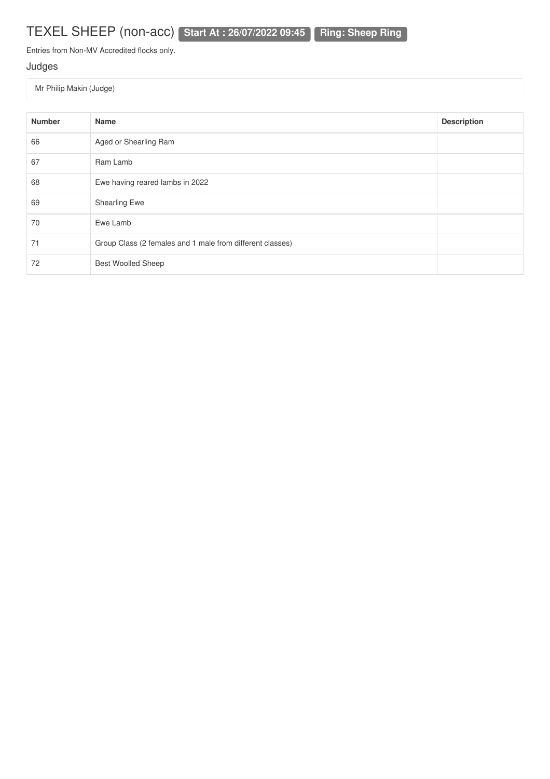# TEXEL SHEEP (non-acc) **Start At : 26/07/2022 09:45 Ring: Sheep Ring**

Entries from Non-MV Accredited flocks only.

### Judges

Mr Philip Makin (Judge)

| <b>Number</b> | <b>Name</b>                                               | <b>Description</b> |
|---------------|-----------------------------------------------------------|--------------------|
| 66            | Aged or Shearling Ram                                     |                    |
| 67            | Ram Lamb                                                  |                    |
| 68            | Ewe having reared lambs in 2022                           |                    |
| 69            | <b>Shearling Ewe</b>                                      |                    |
| 70            | Ewe Lamb                                                  |                    |
| 71            | Group Class (2 females and 1 male from different classes) |                    |
| 72            | <b>Best Woolled Sheep</b>                                 |                    |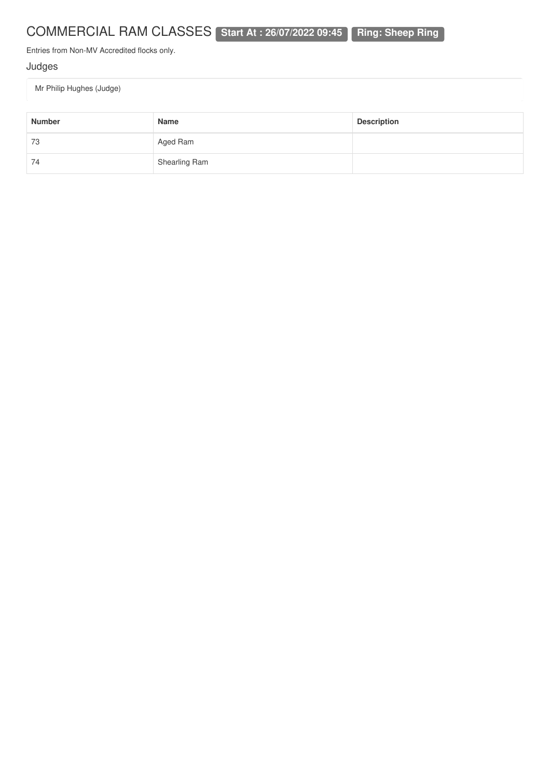# COMMERCIAL RAM CLASSES **Start At : 26/07/2022 09:45 Ring: Sheep Ring**

Entries from Non-MV Accredited flocks only.

### Judges

Mr Philip Hughes (Judge)

| <b>Number</b> | Name          | <b>Description</b> |
|---------------|---------------|--------------------|
| 73            | Aged Ram      |                    |
| 74            | Shearling Ram |                    |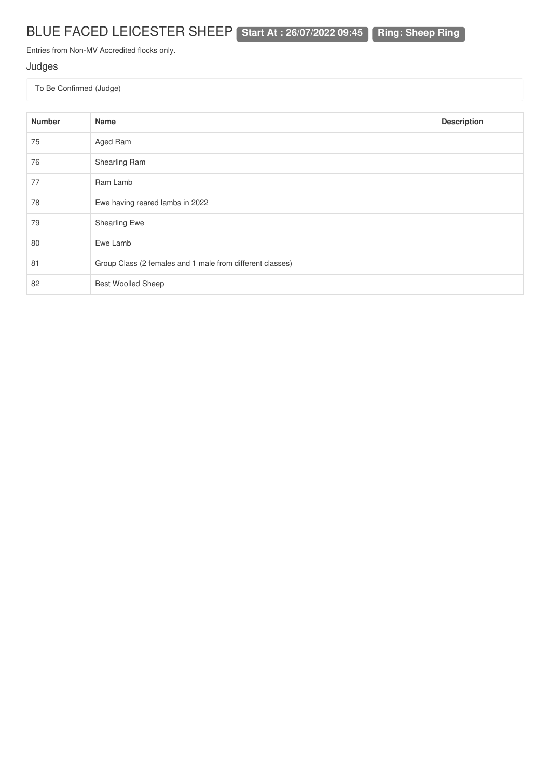# BLUE FACED LEICESTER SHEEP **Start At : 26/07/2022 09:45 Ring: Sheep Ring**

Entries from Non-MV Accredited flocks only.

### Judges

| <b>Number</b> | Name                                                      | <b>Description</b> |
|---------------|-----------------------------------------------------------|--------------------|
| 75            | Aged Ram                                                  |                    |
| 76            | Shearling Ram                                             |                    |
| 77            | Ram Lamb                                                  |                    |
| 78            | Ewe having reared lambs in 2022                           |                    |
| 79            | <b>Shearling Ewe</b>                                      |                    |
| 80            | Ewe Lamb                                                  |                    |
| 81            | Group Class (2 females and 1 male from different classes) |                    |
| 82            | <b>Best Woolled Sheep</b>                                 |                    |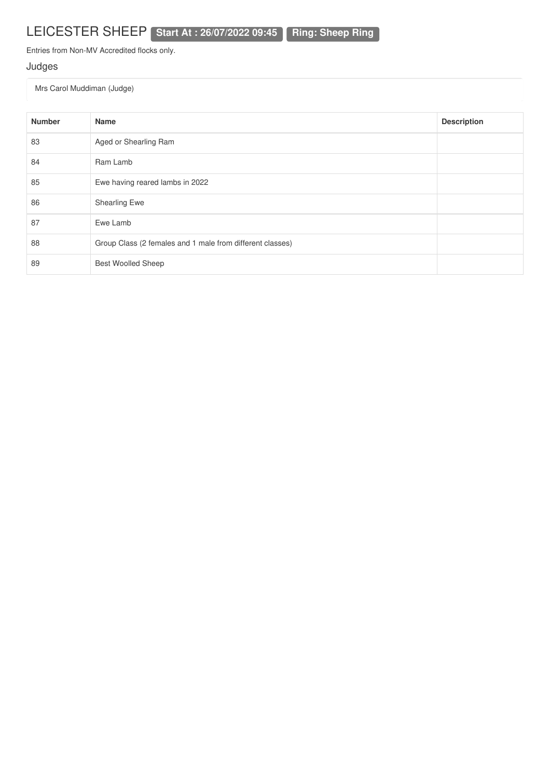Entries from Non-MV Accredited flocks only.

### Judges

Mrs Carol Muddiman (Judge)

| <b>Number</b> | <b>Name</b>                                               | <b>Description</b> |
|---------------|-----------------------------------------------------------|--------------------|
| 83            | Aged or Shearling Ram                                     |                    |
| 84            | Ram Lamb                                                  |                    |
| 85            | Ewe having reared lambs in 2022                           |                    |
| 86            | <b>Shearling Ewe</b>                                      |                    |
| 87            | Ewe Lamb                                                  |                    |
| 88            | Group Class (2 females and 1 male from different classes) |                    |
| 89            | <b>Best Woolled Sheep</b>                                 |                    |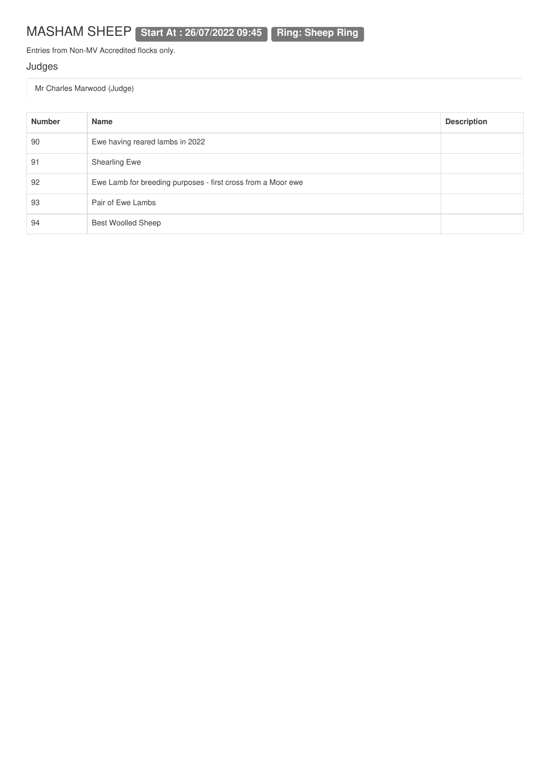Entries from Non-MV Accredited flocks only.

### Judges

Mr Charles Marwood (Judge)

| <b>Number</b> | Name                                                         | <b>Description</b> |
|---------------|--------------------------------------------------------------|--------------------|
| 90            | Ewe having reared lambs in 2022                              |                    |
| 91            | <b>Shearling Ewe</b>                                         |                    |
| 92            | Ewe Lamb for breeding purposes - first cross from a Moor ewe |                    |
| 93            | Pair of Ewe Lambs                                            |                    |
| 94            | <b>Best Woolled Sheep</b>                                    |                    |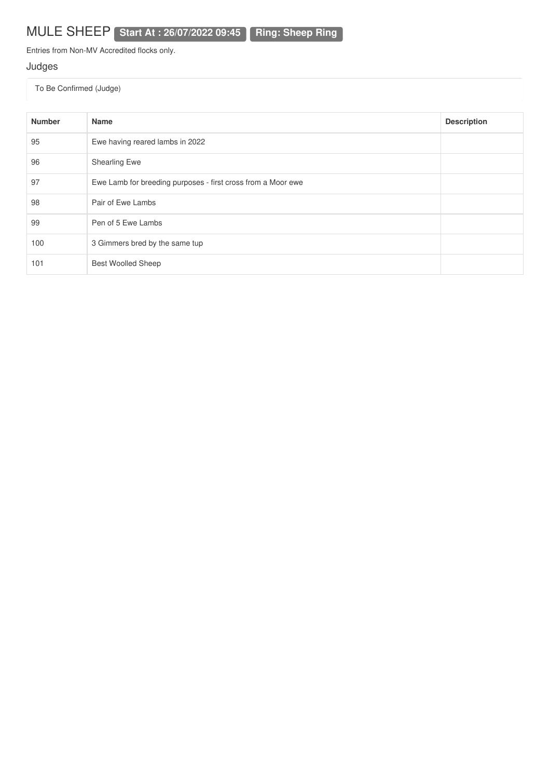# MULE SHEEP **Start At : 26/07/2022 09:45 Ring: Sheep Ring**

Entries from Non-MV Accredited flocks only.

### Judges

| <b>Number</b> | Name                                                         | <b>Description</b> |
|---------------|--------------------------------------------------------------|--------------------|
| 95            | Ewe having reared lambs in 2022                              |                    |
| 96            | Shearling Ewe                                                |                    |
| 97            | Ewe Lamb for breeding purposes - first cross from a Moor ewe |                    |
| 98            | Pair of Ewe Lambs                                            |                    |
| 99            | Pen of 5 Ewe Lambs                                           |                    |
| 100           | 3 Gimmers bred by the same tup                               |                    |
| 101           | <b>Best Woolled Sheep</b>                                    |                    |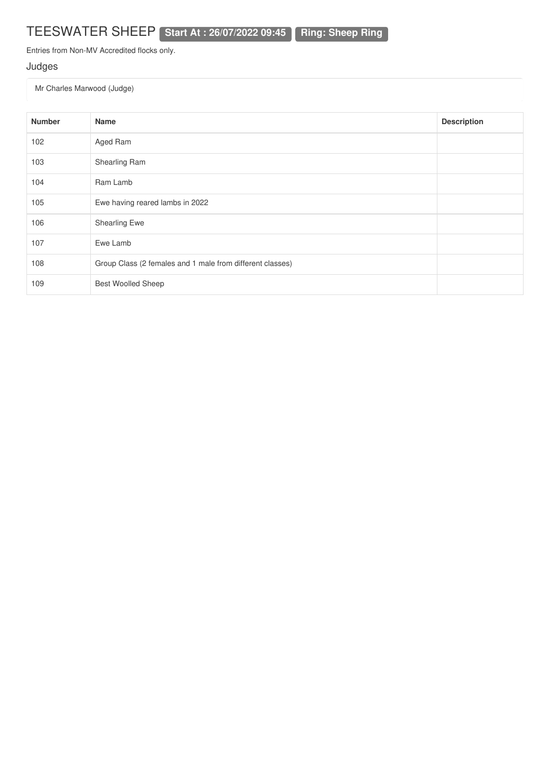# TEESWATER SHEEP **Start At : 26/07/2022 09:45 Ring: Sheep Ring**

Entries from Non-MV Accredited flocks only.

### Judges

Mr Charles Marwood (Judge)

| <b>Number</b> | Name                                                      | <b>Description</b> |
|---------------|-----------------------------------------------------------|--------------------|
| 102           | Aged Ram                                                  |                    |
| 103           | Shearling Ram                                             |                    |
| 104           | Ram Lamb                                                  |                    |
| 105           | Ewe having reared lambs in 2022                           |                    |
| 106           | Shearling Ewe                                             |                    |
| 107           | Ewe Lamb                                                  |                    |
| 108           | Group Class (2 females and 1 male from different classes) |                    |
| 109           | <b>Best Woolled Sheep</b>                                 |                    |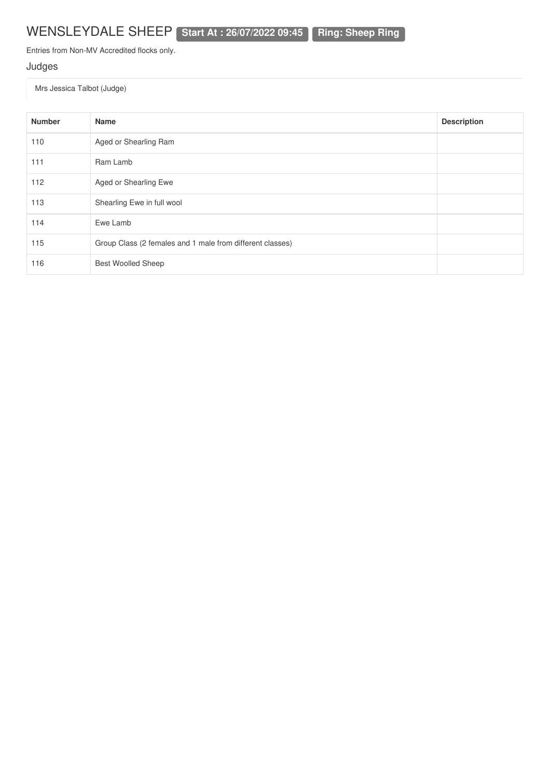## WENSLEYDALE SHEEP **Start At : 26/07/2022 09:45 Ring: Sheep Ring**

Entries from Non-MV Accredited flocks only.

### Judges

Mrs Jessica Talbot (Judge)

| <b>Number</b> | Name                                                      | <b>Description</b> |
|---------------|-----------------------------------------------------------|--------------------|
| 110           | Aged or Shearling Ram                                     |                    |
| 111           | Ram Lamb                                                  |                    |
| 112           | Aged or Shearling Ewe                                     |                    |
| 113           | Shearling Ewe in full wool                                |                    |
| 114           | Ewe Lamb                                                  |                    |
| 115           | Group Class (2 females and 1 male from different classes) |                    |
| 116           | <b>Best Woolled Sheep</b>                                 |                    |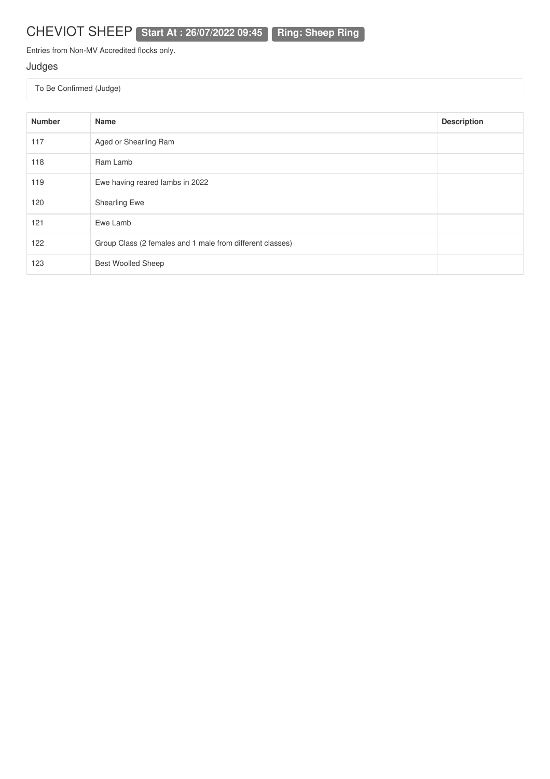Entries from Non-MV Accredited flocks only.

### Judges

| <b>Number</b> | <b>Name</b>                                               | <b>Description</b> |
|---------------|-----------------------------------------------------------|--------------------|
| 117           | Aged or Shearling Ram                                     |                    |
| 118           | Ram Lamb                                                  |                    |
| 119           | Ewe having reared lambs in 2022                           |                    |
| 120           | Shearling Ewe                                             |                    |
| 121           | Ewe Lamb                                                  |                    |
| 122           | Group Class (2 females and 1 male from different classes) |                    |
| 123           | <b>Best Woolled Sheep</b>                                 |                    |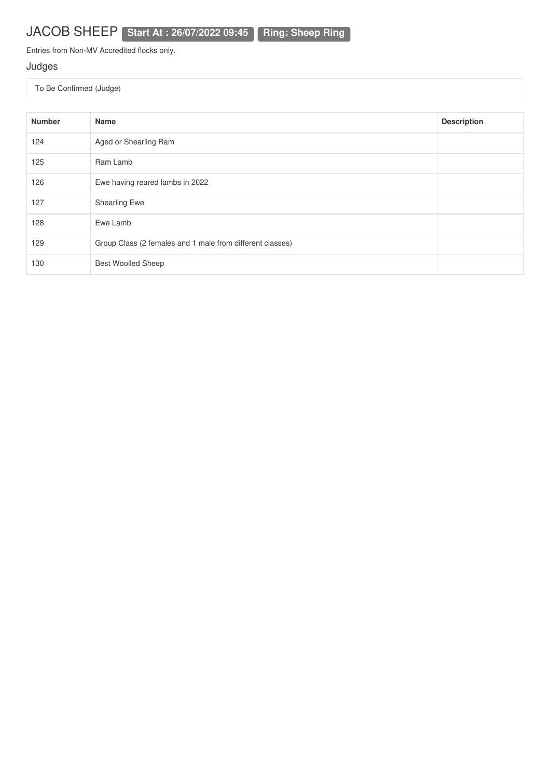Entries from Non-MV Accredited flocks only.

### Judges

| <b>Number</b> | <b>Name</b>                                               | <b>Description</b> |
|---------------|-----------------------------------------------------------|--------------------|
| 124           | Aged or Shearling Ram                                     |                    |
| 125           | Ram Lamb                                                  |                    |
| 126           | Ewe having reared lambs in 2022                           |                    |
| 127           | <b>Shearling Ewe</b>                                      |                    |
| 128           | Ewe Lamb                                                  |                    |
| 129           | Group Class (2 females and 1 male from different classes) |                    |
| 130           | <b>Best Woolled Sheep</b>                                 |                    |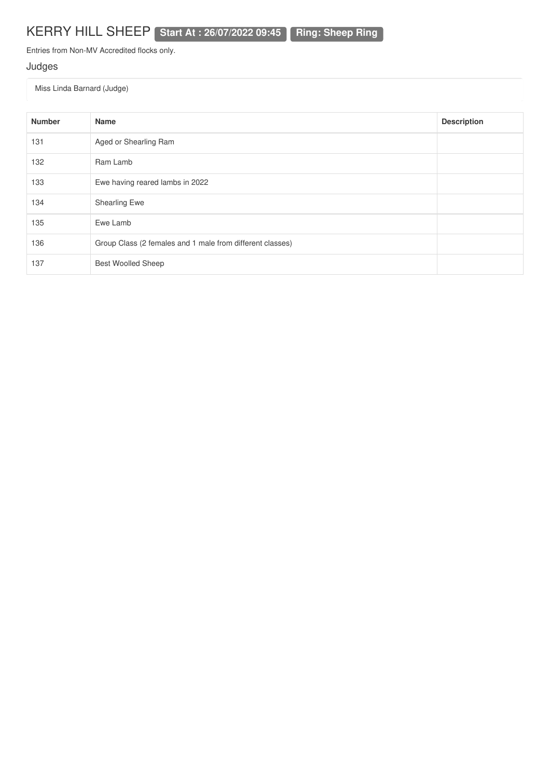## KERRY HILL SHEEP **Start At : 26/07/2022 09:45 Ring: Sheep Ring**

Entries from Non-MV Accredited flocks only.

### Judges

Miss Linda Barnard (Judge)

| <b>Number</b> | Name                                                      | <b>Description</b> |
|---------------|-----------------------------------------------------------|--------------------|
| 131           | Aged or Shearling Ram                                     |                    |
| 132           | Ram Lamb                                                  |                    |
| 133           | Ewe having reared lambs in 2022                           |                    |
| 134           | <b>Shearling Ewe</b>                                      |                    |
| 135           | Ewe Lamb                                                  |                    |
| 136           | Group Class (2 females and 1 male from different classes) |                    |
| 137           | <b>Best Woolled Sheep</b>                                 |                    |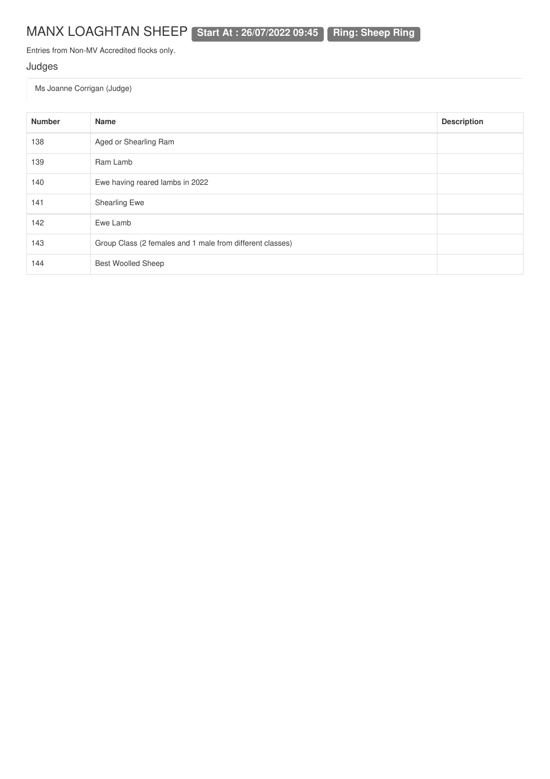## MANX LOAGHTAN SHEEP **Start At : 26/07/2022 09:45 Ring: Sheep Ring**

Entries from Non-MV Accredited flocks only.

### Judges

Ms Joanne Corrigan (Judge)

| <b>Number</b> | <b>Name</b>                                               | <b>Description</b> |
|---------------|-----------------------------------------------------------|--------------------|
| 138           | Aged or Shearling Ram                                     |                    |
| 139           | Ram Lamb                                                  |                    |
| 140           | Ewe having reared lambs in 2022                           |                    |
| 141           | <b>Shearling Ewe</b>                                      |                    |
| 142           | Ewe Lamb                                                  |                    |
| 143           | Group Class (2 females and 1 male from different classes) |                    |
| 144           | <b>Best Woolled Sheep</b>                                 |                    |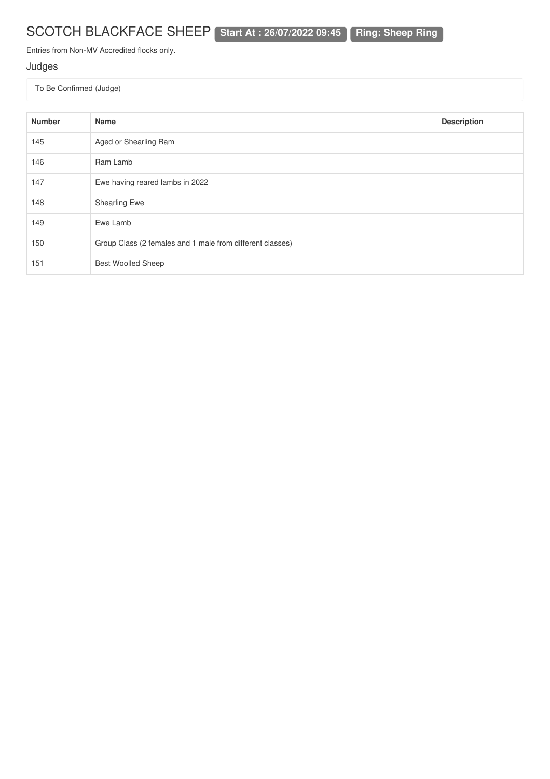# SCOTCH BLACKFACE SHEEP **Start At : 26/07/2022 09:45 Ring: Sheep Ring**

Entries from Non-MV Accredited flocks only.

### Judges

| <b>Number</b> | Name                                                      | <b>Description</b> |
|---------------|-----------------------------------------------------------|--------------------|
| 145           | Aged or Shearling Ram                                     |                    |
| 146           | Ram Lamb                                                  |                    |
| 147           | Ewe having reared lambs in 2022                           |                    |
| 148           | <b>Shearling Ewe</b>                                      |                    |
| 149           | Ewe Lamb                                                  |                    |
| 150           | Group Class (2 females and 1 male from different classes) |                    |
| 151           | <b>Best Woolled Sheep</b>                                 |                    |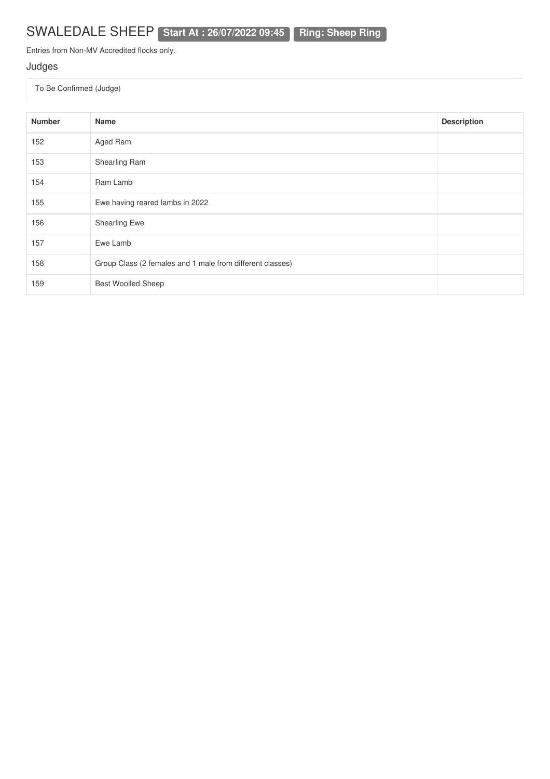# SWALEDALE SHEEP **Start At : 26/07/2022 09:45 Ring: Sheep Ring**

Entries from Non-MV Accredited flocks only.

### Judges

| <b>Number</b> | Name                                                      | <b>Description</b> |
|---------------|-----------------------------------------------------------|--------------------|
| 152           | Aged Ram                                                  |                    |
| 153           | Shearling Ram                                             |                    |
| 154           | Ram Lamb                                                  |                    |
| 155           | Ewe having reared lambs in 2022                           |                    |
| 156           | Shearling Ewe                                             |                    |
| 157           | Ewe Lamb                                                  |                    |
| 158           | Group Class (2 females and 1 male from different classes) |                    |
| 159           | <b>Best Woolled Sheep</b>                                 |                    |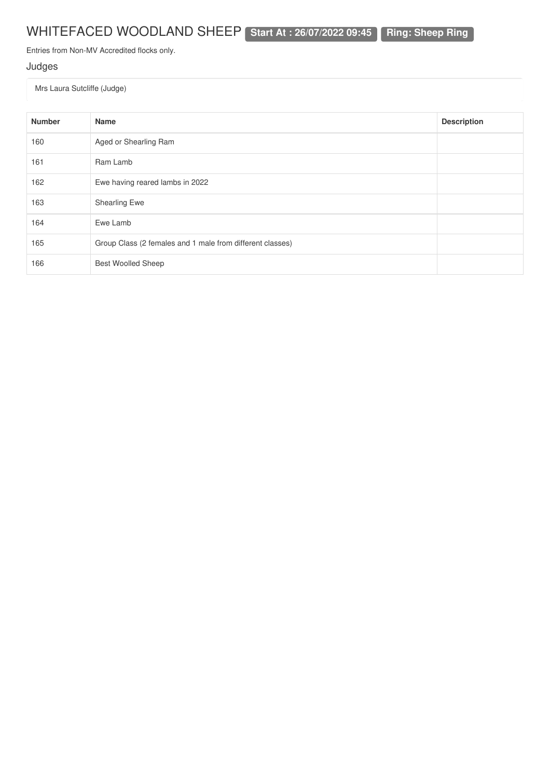# WHITEFACED WOODLAND SHEEP **Start At : 26/07/2022 09:45 Ring: Sheep Ring**

Entries from Non-MV Accredited flocks only.

### Judges

Mrs Laura Sutcliffe (Judge)

| <b>Number</b> | Name                                                      | <b>Description</b> |
|---------------|-----------------------------------------------------------|--------------------|
| 160           | Aged or Shearling Ram                                     |                    |
| 161           | Ram Lamb                                                  |                    |
| 162           | Ewe having reared lambs in 2022                           |                    |
| 163           | <b>Shearling Ewe</b>                                      |                    |
| 164           | Ewe Lamb                                                  |                    |
| 165           | Group Class (2 females and 1 male from different classes) |                    |
| 166           | <b>Best Woolled Sheep</b>                                 |                    |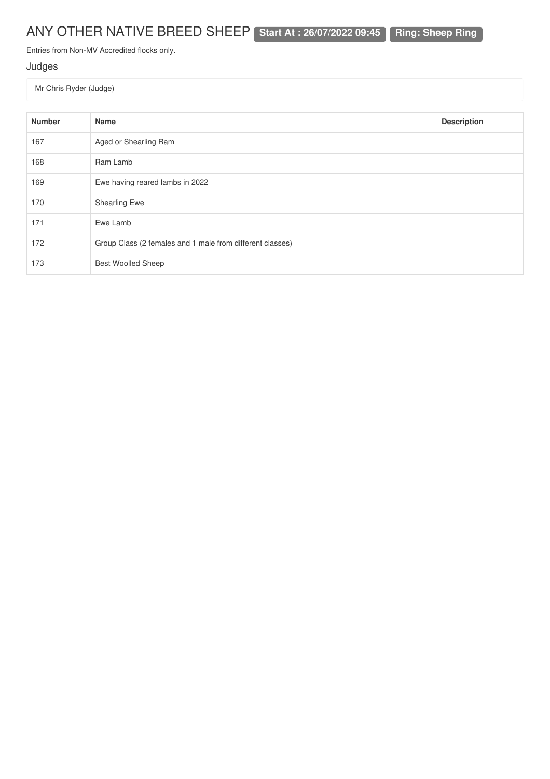# ANY OTHER NATIVE BREED SHEEP **Start At : 26/07/2022 09:45 Ring: Sheep Ring**

Entries from Non-MV Accredited flocks only.

### Judges

Mr Chris Ryder (Judge)

| <b>Number</b> | <b>Name</b>                                               | <b>Description</b> |
|---------------|-----------------------------------------------------------|--------------------|
| 167           | Aged or Shearling Ram                                     |                    |
| 168           | Ram Lamb                                                  |                    |
| 169           | Ewe having reared lambs in 2022                           |                    |
| 170           | <b>Shearling Ewe</b>                                      |                    |
| 171           | Ewe Lamb                                                  |                    |
| 172           | Group Class (2 females and 1 male from different classes) |                    |
| 173           | <b>Best Woolled Sheep</b>                                 |                    |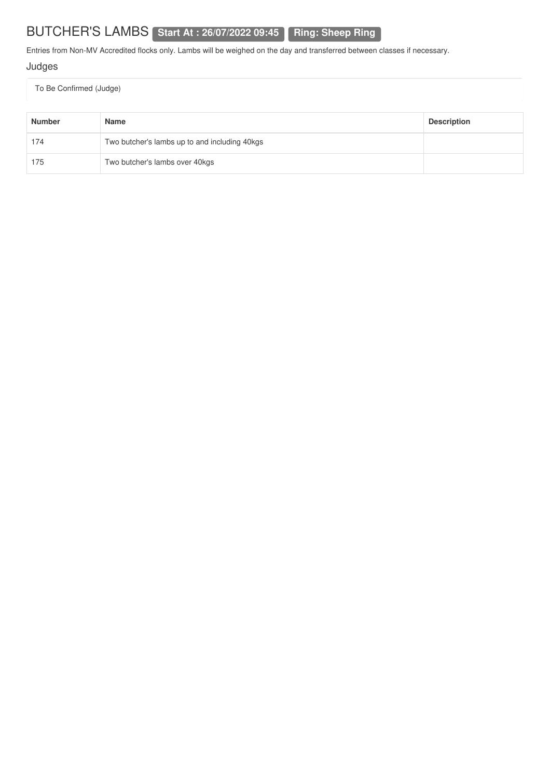# BUTCHER'S LAMBS **Start At : 26/07/2022 09:45 Ring: Sheep Ring**

Entries from Non-MV Accredited flocks only. Lambs will be weighed on the day and transferred between classes if necessary.

### Judges

| <b>Number</b> | <b>Name</b>                                   | <b>Description</b> |
|---------------|-----------------------------------------------|--------------------|
| 174           | Two butcher's lambs up to and including 40kgs |                    |
| 175           | Two butcher's lambs over 40kgs                |                    |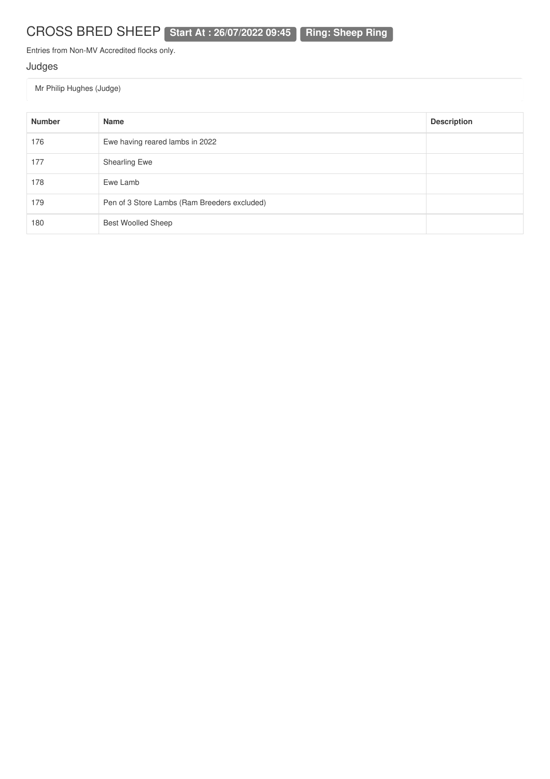# CROSS BRED SHEEP **Start At : 26/07/2022 09:45 Ring: Sheep Ring**

Entries from Non-MV Accredited flocks only.

### Judges

Mr Philip Hughes (Judge)

| <b>Number</b> | Name                                         | <b>Description</b> |
|---------------|----------------------------------------------|--------------------|
| 176           | Ewe having reared lambs in 2022              |                    |
| 177           | Shearling Ewe                                |                    |
| 178           | Ewe Lamb                                     |                    |
| 179           | Pen of 3 Store Lambs (Ram Breeders excluded) |                    |
| 180           | <b>Best Woolled Sheep</b>                    |                    |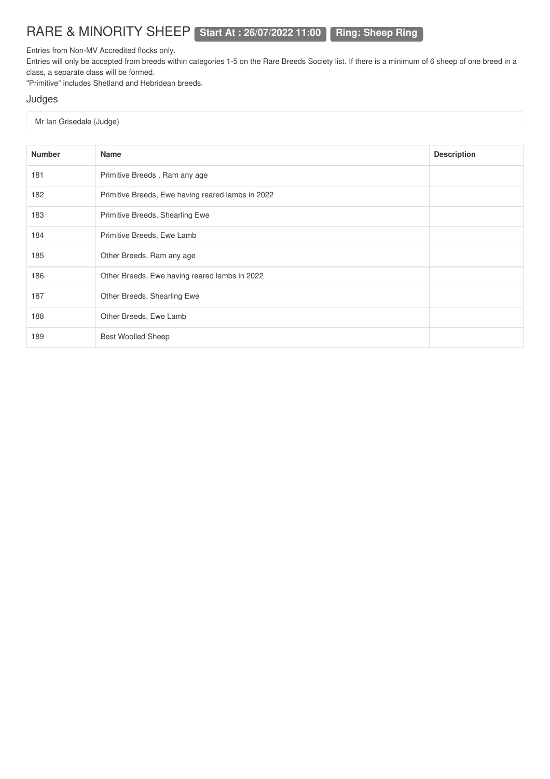### RARE & MINORITY SHEEP **Start At : 26/07/2022 11:00 Ring: Sheep Ring**

Entries from Non-MV Accredited flocks only.

Entries will only be accepted from breeds within categories 1-5 on the Rare Breeds Society list. If there is a minimum of 6 sheep of one breed in a class, a separate class will be formed.

"Primitive" includes Shetland and Hebridean breeds.

#### Judges

#### Mr Ian Grisedale (Judge)

| <b>Number</b> | <b>Name</b>                                       | <b>Description</b> |
|---------------|---------------------------------------------------|--------------------|
| 181           | Primitive Breeds, Ram any age                     |                    |
| 182           | Primitive Breeds, Ewe having reared lambs in 2022 |                    |
| 183           | Primitive Breeds, Shearling Ewe                   |                    |
| 184           | Primitive Breeds, Ewe Lamb                        |                    |
| 185           | Other Breeds, Ram any age                         |                    |
| 186           | Other Breeds, Ewe having reared lambs in 2022     |                    |
| 187           | Other Breeds, Shearling Ewe                       |                    |
| 188           | Other Breeds, Ewe Lamb                            |                    |
| 189           | <b>Best Woolled Sheep</b>                         |                    |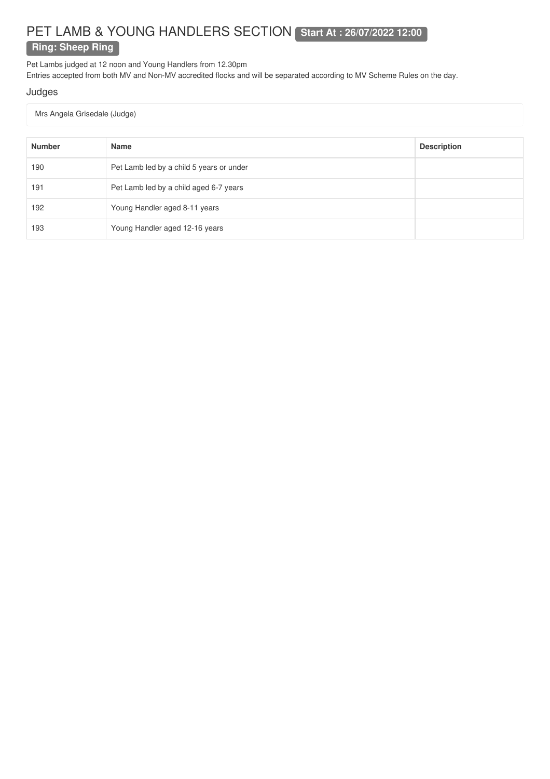### PET LAMB & YOUNG HANDLERS SECTION **Start At : 26/07/2022 12:00 Ring: Sheep Ring**

Pet Lambs judged at 12 noon and Young Handlers from 12.30pm

Entries accepted from both MV and Non-MV accredited flocks and will be separated according to MV Scheme Rules on the day.

#### Judges

Mrs Angela Grisedale (Judge)

| <b>Number</b> | <b>Name</b>                              | <b>Description</b> |
|---------------|------------------------------------------|--------------------|
| 190           | Pet Lamb led by a child 5 years or under |                    |
| 191           | Pet Lamb led by a child aged 6-7 years   |                    |
| 192           | Young Handler aged 8-11 years            |                    |
| 193           | Young Handler aged 12-16 years           |                    |